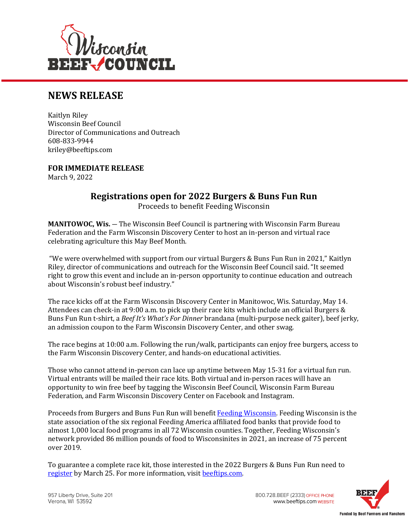

## **NEWS RELEASE**

Kaitlyn Riley Wisconsin Beef Council Director of Communications and Outreach 608-833-9944 kriley@beeftips.com

**FOR IMMEDIATE RELEASE** March 9, 2022

## **Registrations open for 2022 Burgers & Buns Fun Run**

Proceeds to benefit Feeding Wisconsin

**MANITOWOC, Wis.** — The Wisconsin Beef Council is partnering with Wisconsin Farm Bureau Federation and the Farm Wisconsin Discovery Center to host an in-person and virtual race celebrating agriculture this May Beef Month.

"We were overwhelmed with support from our virtual Burgers & Buns Fun Run in 2021," Kaitlyn Riley, director of communications and outreach for the Wisconsin Beef Council said. "It seemed right to grow this event and include an in-person opportunity to continue education and outreach about Wisconsin's robust beef industry."

The race kicks off at the Farm Wisconsin Discovery Center in Manitowoc, Wis. Saturday, May 14. Attendees can check-in at 9:00 a.m. to pick up their race kits which include an official Burgers & Buns Fun Run t-shirt, a *Beef It's What's For Dinner* brandana (multi-purpose neck gaiter), beef jerky, an admission coupon to the Farm Wisconsin Discovery Center, and other swag.

The race begins at 10:00 a.m. Following the run/walk, participants can enjoy free burgers, access to the Farm Wisconsin Discovery Center, and hands-on educational activities.

Those who cannot attend in-person can lace up anytime between May 15-31 for a virtual fun run. Virtual entrants will be mailed their race kits. Both virtual and in-person races will have an opportunity to win free beef by tagging the Wisconsin Beef Council, Wisconsin Farm Bureau Federation, and Farm Wisconsin Discovery Center on Facebook and Instagram.

Proceeds from Burgers and Buns Fun Run will benefit [Feeding Wisconsin.](https://www.feedingwi.org/) Feeding Wisconsin is the state association of the six regional Feeding America affiliated food banks that provide food to almost 1,000 local food programs in all 72 Wisconsin counties. Together, Feeding Wisconsin's network provided 86 million pounds of food to Wisconsinites in 2021, an increase of 75 percent over 2019.

To guarantee a complete race kit, those interested in the 2022 Burgers & Buns Fun Run need to [register](https://www.beeftips.com/nutrition/burgers-buns-fun-run) by March 25. For more information, visi[t beeftips.com.](https://www.beeftips.com/nutrition/burgers-buns-fun-run) 

800.728.BEEF (2333) OFFICE PHONE www.beeftips.com WEBSITE